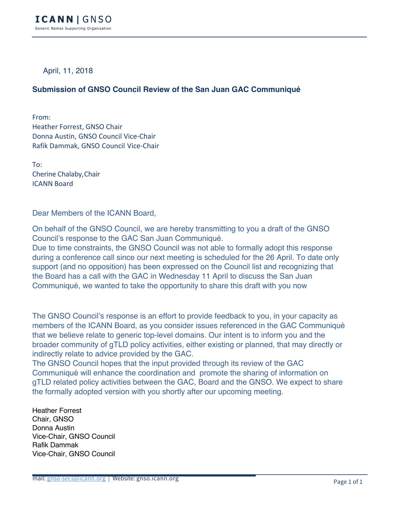April, 11, 2018

## **Submission of GNSO Council Review of the San Juan GAC Communiqué**

From: Heather Forrest, GNSO Chair Donna Austin, GNSO Council Vice-Chair Rafik Dammak, GNSO Council Vice-Chair

To: Cherine Chalaby,Chair ICANN Board 

Dear Members of the ICANN Board,

On behalf of the GNSO Council, we are hereby transmitting to you a draft of the GNSO Council's response to the GAC San Juan Communiqué.

Due to time constraints, the GNSO Council was not able to formally adopt this response during a conference call since our next meeting is scheduled for the 26 April. To date only support (and no opposition) has been expressed on the Council list and recognizing that the Board has a call with the GAC in Wednesday 11 April to discuss the San Juan Communiqué, we wanted to take the opportunity to share this draft with you now

The GNSO Council's response is an effort to provide feedback to you, in your capacity as members of the ICANN Board, as you consider issues referenced in the GAC Communiqué that we believe relate to generic top-level domains. Our intent is to inform you and the broader community of gTLD policy activities, either existing or planned, that may directly or indirectly relate to advice provided by the GAC.

The GNSO Council hopes that the input provided through its review of the GAC Communiqué will enhance the coordination and promote the sharing of information on gTLD related policy activities between the GAC, Board and the GNSO. We expect to share the formally adopted version with you shortly after our upcoming meeting.

Heather Forrest Chair, GNSO Donna Austin Vice-Chair, GNSO Council Rafik Dammak Vice-Chair, GNSO Council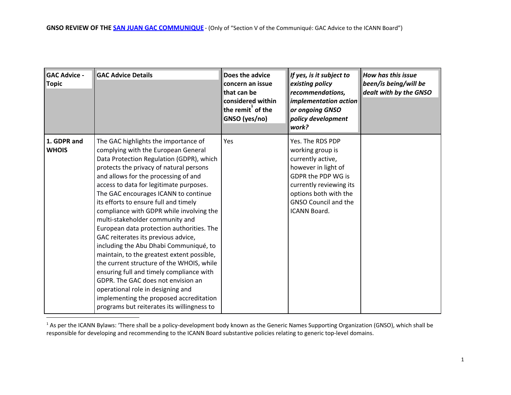| <b>GAC Advice -</b><br><b>Topic</b> | <b>GAC Advice Details</b>                                                                                                                                                                                                                                                                                                                                                                                                                                                                                                                                                                                                                                                                                                                                                                                                                                      | Does the advice<br>concern an issue<br>that can be<br>considered within<br>the remit of the<br>GNSO (yes/no) | If yes, is it subject to<br>existing policy<br>recommendations,<br>implementation action<br>or ongoing GNSO<br>policy development<br>work?                                                                | <b>How has this issue</b><br>been/is being/will be<br>dealt with by the GNSO |
|-------------------------------------|----------------------------------------------------------------------------------------------------------------------------------------------------------------------------------------------------------------------------------------------------------------------------------------------------------------------------------------------------------------------------------------------------------------------------------------------------------------------------------------------------------------------------------------------------------------------------------------------------------------------------------------------------------------------------------------------------------------------------------------------------------------------------------------------------------------------------------------------------------------|--------------------------------------------------------------------------------------------------------------|-----------------------------------------------------------------------------------------------------------------------------------------------------------------------------------------------------------|------------------------------------------------------------------------------|
| 1. GDPR and<br><b>WHOIS</b>         | The GAC highlights the importance of<br>complying with the European General<br>Data Protection Regulation (GDPR), which<br>protects the privacy of natural persons<br>and allows for the processing of and<br>access to data for legitimate purposes.<br>The GAC encourages ICANN to continue<br>its efforts to ensure full and timely<br>compliance with GDPR while involving the<br>multi-stakeholder community and<br>European data protection authorities. The<br>GAC reiterates its previous advice,<br>including the Abu Dhabi Communiqué, to<br>maintain, to the greatest extent possible,<br>the current structure of the WHOIS, while<br>ensuring full and timely compliance with<br>GDPR. The GAC does not envision an<br>operational role in designing and<br>implementing the proposed accreditation<br>programs but reiterates its willingness to | Yes                                                                                                          | Yes. The RDS PDP<br>working group is<br>currently active,<br>however in light of<br>GDPR the PDP WG is<br>currently reviewing its<br>options both with the<br><b>GNSO Council and the</b><br>ICANN Board. |                                                                              |

<sup>&</sup>lt;sup>1</sup> As per the ICANN Bylaws: 'There shall be a policy-development body known as the Generic Names Supporting Organization (GNSO), which shall be responsible for developing and recommending to the ICANN Board substantive policies relating to generic top-level domains.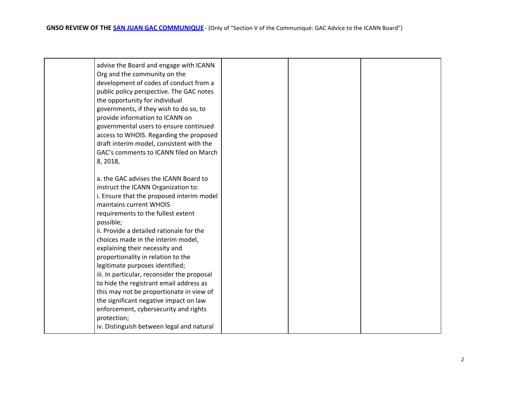| 8, 2018, | advise the Board and engage with ICANN<br>Org and the community on the<br>development of codes of conduct from a<br>public policy perspective. The GAC notes<br>the opportunity for individual<br>governments, if they wish to do so, to<br>provide information to ICANN on<br>governmental users to ensure continued<br>access to WHOIS. Regarding the proposed<br>draft interim model, consistent with the<br>GAC's comments to ICANN filed on March                                                                                                                                                                                       |  |  |
|----------|----------------------------------------------------------------------------------------------------------------------------------------------------------------------------------------------------------------------------------------------------------------------------------------------------------------------------------------------------------------------------------------------------------------------------------------------------------------------------------------------------------------------------------------------------------------------------------------------------------------------------------------------|--|--|
|          | a. the GAC advises the ICANN Board to<br>instruct the ICANN Organization to:<br>i. Ensure that the proposed interim model<br>maintains current WHOIS<br>requirements to the fullest extent<br>possible;<br>ii. Provide a detailed rationale for the<br>choices made in the interim model,<br>explaining their necessity and<br>proportionality in relation to the<br>legitimate purposes identified;<br>iii. In particular, reconsider the proposal<br>to hide the registrant email address as<br>this may not be proportionate in view of<br>the significant negative impact on law<br>enforcement, cybersecurity and rights<br>protection; |  |  |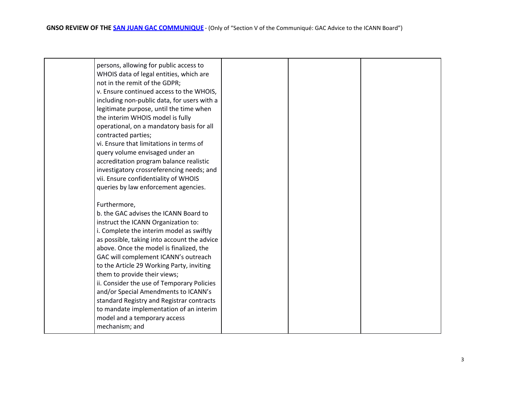| persons, allowing for public access to<br>WHOIS data of legal entities, which are<br>not in the remit of the GDPR;<br>v. Ensure continued access to the WHOIS,<br>including non-public data, for users with a<br>legitimate purpose, until the time when<br>the interim WHOIS model is fully<br>operational, on a mandatory basis for all<br>contracted parties;<br>vi. Ensure that limitations in terms of<br>query volume envisaged under an<br>accreditation program balance realistic<br>investigatory crossreferencing needs; and<br>vii. Ensure confidentiality of WHOIS<br>queries by law enforcement agencies. |  |  |
|------------------------------------------------------------------------------------------------------------------------------------------------------------------------------------------------------------------------------------------------------------------------------------------------------------------------------------------------------------------------------------------------------------------------------------------------------------------------------------------------------------------------------------------------------------------------------------------------------------------------|--|--|
| Furthermore,<br>b. the GAC advises the ICANN Board to<br>instruct the ICANN Organization to:<br>i. Complete the interim model as swiftly<br>as possible, taking into account the advice<br>above. Once the model is finalized, the<br>GAC will complement ICANN's outreach<br>to the Article 29 Working Party, inviting<br>them to provide their views;<br>ii. Consider the use of Temporary Policies<br>and/or Special Amendments to ICANN's<br>standard Registry and Registrar contracts<br>to mandate implementation of an interim<br>model and a temporary access<br>mechanism; and                                |  |  |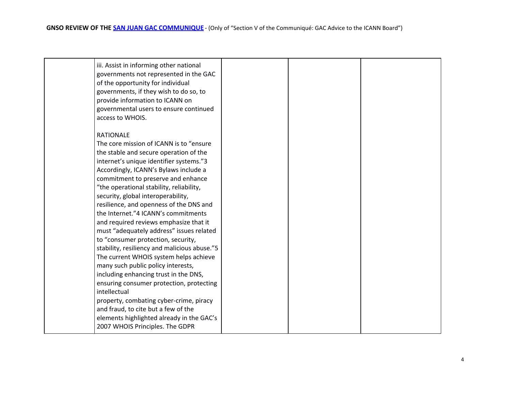| <b>RATIONALE</b><br>The core mission of ICANN is to "ensure"<br>the stable and secure operation of the<br>internet's unique identifier systems."3<br>Accordingly, ICANN's Bylaws include a<br>commitment to preserve and enhance<br>"the operational stability, reliability,<br>security, global interoperability,<br>resilience, and openness of the DNS and<br>the Internet."4 ICANN's commitments<br>and required reviews emphasize that it<br>must "adequately address" issues related<br>to "consumer protection, security,<br>stability, resiliency and malicious abuse."5<br>The current WHOIS system helps achieve<br>many such public policy interests,<br>including enhancing trust in the DNS, | iii. Assist in informing other national<br>governments not represented in the GAC<br>of the opportunity for individual<br>governments, if they wish to do so, to<br>provide information to ICANN on<br>governmental users to ensure continued<br>access to WHOIS. |  |
|-----------------------------------------------------------------------------------------------------------------------------------------------------------------------------------------------------------------------------------------------------------------------------------------------------------------------------------------------------------------------------------------------------------------------------------------------------------------------------------------------------------------------------------------------------------------------------------------------------------------------------------------------------------------------------------------------------------|-------------------------------------------------------------------------------------------------------------------------------------------------------------------------------------------------------------------------------------------------------------------|--|
| ensuring consumer protection, protecting<br>intellectual<br>property, combating cyber-crime, piracy<br>and fraud, to cite but a few of the<br>elements highlighted already in the GAC's<br>2007 WHOIS Principles. The GDPR                                                                                                                                                                                                                                                                                                                                                                                                                                                                                |                                                                                                                                                                                                                                                                   |  |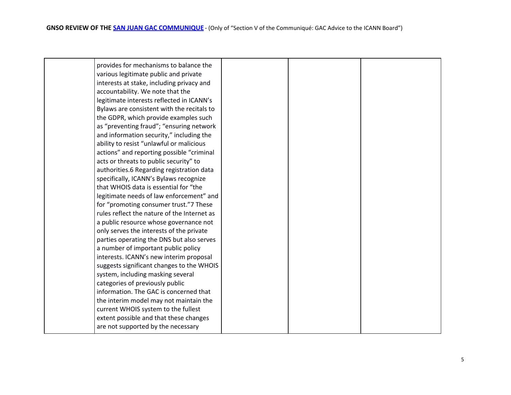| provides for mechanisms to balance the      |  |  |
|---------------------------------------------|--|--|
|                                             |  |  |
| various legitimate public and private       |  |  |
| interests at stake, including privacy and   |  |  |
| accountability. We note that the            |  |  |
| legitimate interests reflected in ICANN's   |  |  |
| Bylaws are consistent with the recitals to  |  |  |
| the GDPR, which provide examples such       |  |  |
| as "preventing fraud"; "ensuring network    |  |  |
| and information security," including the    |  |  |
| ability to resist "unlawful or malicious    |  |  |
| actions" and reporting possible "criminal   |  |  |
| acts or threats to public security" to      |  |  |
| authorities.6 Regarding registration data   |  |  |
| specifically, ICANN's Bylaws recognize      |  |  |
| that WHOIS data is essential for "the       |  |  |
| legitimate needs of law enforcement" and    |  |  |
| for "promoting consumer trust."7 These      |  |  |
| rules reflect the nature of the Internet as |  |  |
| a public resource whose governance not      |  |  |
| only serves the interests of the private    |  |  |
| parties operating the DNS but also serves   |  |  |
| a number of important public policy         |  |  |
| interests. ICANN's new interim proposal     |  |  |
| suggests significant changes to the WHOIS   |  |  |
| system, including masking several           |  |  |
| categories of previously public             |  |  |
| information. The GAC is concerned that      |  |  |
| the interim model may not maintain the      |  |  |
| current WHOIS system to the fullest         |  |  |
| extent possible and that these changes      |  |  |
| are not supported by the necessary          |  |  |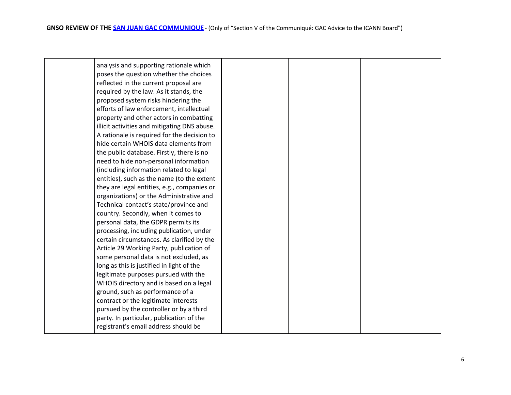| analysis and supporting rationale which      |  |  |
|----------------------------------------------|--|--|
| poses the question whether the choices       |  |  |
| reflected in the current proposal are        |  |  |
| required by the law. As it stands, the       |  |  |
| proposed system risks hindering the          |  |  |
| efforts of law enforcement, intellectual     |  |  |
| property and other actors in combatting      |  |  |
|                                              |  |  |
| illicit activities and mitigating DNS abuse. |  |  |
| A rationale is required for the decision to  |  |  |
| hide certain WHOIS data elements from        |  |  |
| the public database. Firstly, there is no    |  |  |
| need to hide non-personal information        |  |  |
| (including information related to legal      |  |  |
| entities), such as the name (to the extent   |  |  |
| they are legal entities, e.g., companies or  |  |  |
| organizations) or the Administrative and     |  |  |
| Technical contact's state/province and       |  |  |
| country. Secondly, when it comes to          |  |  |
| personal data, the GDPR permits its          |  |  |
| processing, including publication, under     |  |  |
| certain circumstances. As clarified by the   |  |  |
| Article 29 Working Party, publication of     |  |  |
| some personal data is not excluded, as       |  |  |
| long as this is justified in light of the    |  |  |
| legitimate purposes pursued with the         |  |  |
| WHOIS directory and is based on a legal      |  |  |
| ground, such as performance of a             |  |  |
| contract or the legitimate interests         |  |  |
| pursued by the controller or by a third      |  |  |
| party. In particular, publication of the     |  |  |
| registrant's email address should be         |  |  |
|                                              |  |  |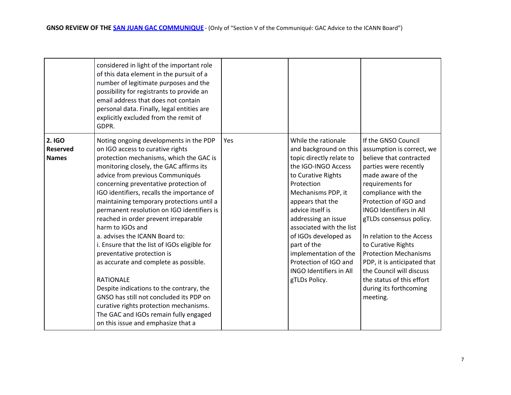|                                           | considered in light of the important role<br>of this data element in the pursuit of a<br>number of legitimate purposes and the<br>possibility for registrants to provide an<br>email address that does not contain<br>personal data. Finally, legal entities are<br>explicitly excluded from the remit of<br>GDPR.                                                                                                                                                                                                                                                                                                                                                                                                                                                                                                                              |     |                                                                                                                                                                                                                                                                                                                                                                                                   |                                                                                                                                                                                                                                                                                                                                                                                                                                                                             |
|-------------------------------------------|-------------------------------------------------------------------------------------------------------------------------------------------------------------------------------------------------------------------------------------------------------------------------------------------------------------------------------------------------------------------------------------------------------------------------------------------------------------------------------------------------------------------------------------------------------------------------------------------------------------------------------------------------------------------------------------------------------------------------------------------------------------------------------------------------------------------------------------------------|-----|---------------------------------------------------------------------------------------------------------------------------------------------------------------------------------------------------------------------------------------------------------------------------------------------------------------------------------------------------------------------------------------------------|-----------------------------------------------------------------------------------------------------------------------------------------------------------------------------------------------------------------------------------------------------------------------------------------------------------------------------------------------------------------------------------------------------------------------------------------------------------------------------|
| 2. IGO<br><b>Reserved</b><br><b>Names</b> | Noting ongoing developments in the PDP<br>on IGO access to curative rights<br>protection mechanisms, which the GAC is<br>monitoring closely, the GAC affirms its<br>advice from previous Communiqués<br>concerning preventative protection of<br>IGO identifiers, recalls the importance of<br>maintaining temporary protections until a<br>permanent resolution on IGO identifiers is<br>reached in order prevent irreparable<br>harm to IGOs and<br>a. advises the ICANN Board to:<br>i. Ensure that the list of IGOs eligible for<br>preventative protection is<br>as accurate and complete as possible.<br><b>RATIONALE</b><br>Despite indications to the contrary, the<br>GNSO has still not concluded its PDP on<br>curative rights protection mechanisms.<br>The GAC and IGOs remain fully engaged<br>on this issue and emphasize that a | Yes | While the rationale<br>and background on this<br>topic directly relate to<br>the IGO-INGO Access<br>to Curative Rights<br>Protection<br>Mechanisms PDP, it<br>appears that the<br>advice itself is<br>addressing an issue<br>associated with the list<br>of IGOs developed as<br>part of the<br>implementation of the<br>Protection of IGO and<br><b>INGO Identifiers in All</b><br>gTLDs Policy. | If the GNSO Council<br>assumption is correct, we<br>believe that contracted<br>parties were recently<br>made aware of the<br>requirements for<br>compliance with the<br>Protection of IGO and<br><b>INGO Identifiers in All</b><br>gTLDs consensus policy.<br>In relation to the Access<br>to Curative Rights<br><b>Protection Mechanisms</b><br>PDP, it is anticipated that<br>the Council will discuss<br>the status of this effort<br>during its forthcoming<br>meeting. |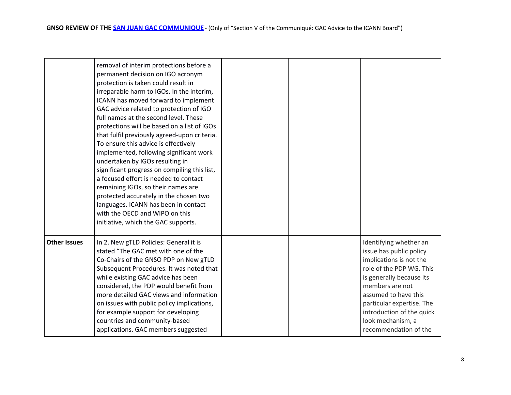|                     | removal of interim protections before a<br>permanent decision on IGO acronym<br>protection is taken could result in<br>irreparable harm to IGOs. In the interim,<br>ICANN has moved forward to implement<br>GAC advice related to protection of IGO<br>full names at the second level. These<br>protections will be based on a list of IGOs<br>that fulfil previously agreed-upon criteria.<br>To ensure this advice is effectively<br>implemented, following significant work<br>undertaken by IGOs resulting in<br>significant progress on compiling this list,<br>a focused effort is needed to contact<br>remaining IGOs, so their names are<br>protected accurately in the chosen two<br>languages. ICANN has been in contact<br>with the OECD and WIPO on this<br>initiative, which the GAC supports. |  |                                                                                                                                                                                                                                                                                         |
|---------------------|-------------------------------------------------------------------------------------------------------------------------------------------------------------------------------------------------------------------------------------------------------------------------------------------------------------------------------------------------------------------------------------------------------------------------------------------------------------------------------------------------------------------------------------------------------------------------------------------------------------------------------------------------------------------------------------------------------------------------------------------------------------------------------------------------------------|--|-----------------------------------------------------------------------------------------------------------------------------------------------------------------------------------------------------------------------------------------------------------------------------------------|
| <b>Other Issues</b> | In 2. New gTLD Policies: General it is<br>stated "The GAC met with one of the<br>Co-Chairs of the GNSO PDP on New gTLD<br>Subsequent Procedures. It was noted that<br>while existing GAC advice has been<br>considered, the PDP would benefit from<br>more detailed GAC views and information<br>on issues with public policy implications,<br>for example support for developing<br>countries and community-based<br>applications. GAC members suggested                                                                                                                                                                                                                                                                                                                                                   |  | Identifying whether an<br>issue has public policy<br>implications is not the<br>role of the PDP WG. This<br>is generally because its<br>members are not<br>assumed to have this<br>particular expertise. The<br>introduction of the quick<br>look mechanism, a<br>recommendation of the |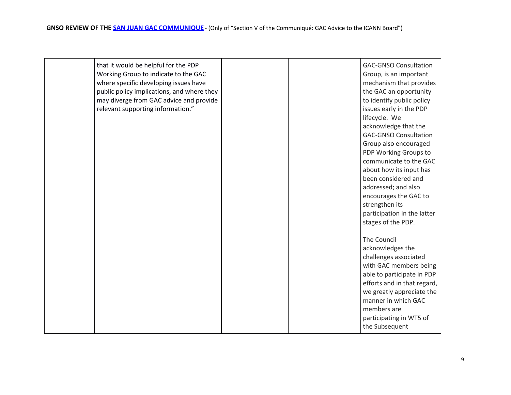| that it would be helpful for the PDP<br>Working Group to indicate to the GAC<br>where specific developing issues have<br>public policy implications, and where they<br>may diverge from GAC advice and provide<br>relevant supporting information." |  | <b>GAC-GNSO Consultation</b><br>Group, is an important<br>mechanism that provides<br>the GAC an opportunity<br>to identify public policy<br>issues early in the PDP<br>lifecycle. We<br>acknowledge that the<br><b>GAC-GNSO Consultation</b><br>Group also encouraged<br>PDP Working Groups to<br>communicate to the GAC<br>about how its input has<br>been considered and<br>addressed; and also<br>encourages the GAC to<br>strengthen its<br>participation in the latter |
|-----------------------------------------------------------------------------------------------------------------------------------------------------------------------------------------------------------------------------------------------------|--|-----------------------------------------------------------------------------------------------------------------------------------------------------------------------------------------------------------------------------------------------------------------------------------------------------------------------------------------------------------------------------------------------------------------------------------------------------------------------------|
|                                                                                                                                                                                                                                                     |  | stages of the PDP.<br>The Council<br>acknowledges the<br>challenges associated<br>with GAC members being<br>able to participate in PDP<br>efforts and in that regard,<br>we greatly appreciate the<br>manner in which GAC<br>members are<br>participating in WT5 of<br>the Subsequent                                                                                                                                                                                       |